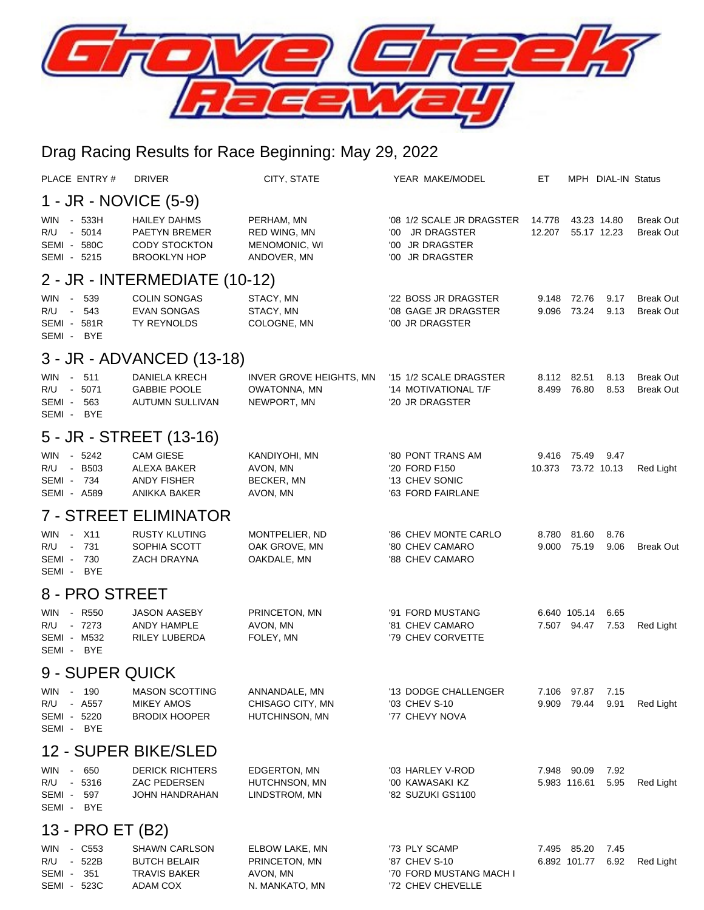

## Drag Racing Results for Race Beginning: May 29, 2022

| PLACE ENTRY#                                                                               | <b>DRIVER</b>                                                                              | CITY, STATE                                                   | YEAR MAKE/MODEL                                                                              | EТ               |                             | MPH DIAL-IN Status |                                      |  |  |  |  |
|--------------------------------------------------------------------------------------------|--------------------------------------------------------------------------------------------|---------------------------------------------------------------|----------------------------------------------------------------------------------------------|------------------|-----------------------------|--------------------|--------------------------------------|--|--|--|--|
| 1 - JR - NOVICE (5-9)                                                                      |                                                                                            |                                                               |                                                                                              |                  |                             |                    |                                      |  |  |  |  |
| - 533H<br><b>WIN</b><br>R/U<br>- 5014<br>SEMI - 580C<br>SEMI - 5215                        | <b>HAILEY DAHMS</b><br><b>PAETYN BREMER</b><br><b>CODY STOCKTON</b><br><b>BROOKLYN HOP</b> | PERHAM, MN<br>RED WING, MN<br>MENOMONIC, WI<br>ANDOVER, MN    | '08 1/2 SCALE JR DRAGSTER<br><b>JR DRAGSTER</b><br>'00<br>'00 JR DRAGSTER<br>'00 JR DRAGSTER | 14.778<br>12.207 | 43.23 14.80<br>55.17 12.23  |                    | <b>Break Out</b><br><b>Break Out</b> |  |  |  |  |
| 2 - JR - INTERMEDIATE (10-12)                                                              |                                                                                            |                                                               |                                                                                              |                  |                             |                    |                                      |  |  |  |  |
| - 539<br><b>WIN</b><br>543<br>R/U<br>$\sim 10^{-11}$<br>SEMI - 581R<br>SEMI - BYE          | <b>COLIN SONGAS</b><br><b>EVAN SONGAS</b><br><b>TY REYNOLDS</b>                            | STACY, MN<br>STACY, MN<br>COLOGNE, MN                         | '22 BOSS JR DRAGSTER<br>'08 GAGE JR DRAGSTER<br>'00 JR DRAGSTER                              | 9.148<br>9.096   | 72.76<br>73.24              | 9.17<br>9.13       | <b>Break Out</b><br><b>Break Out</b> |  |  |  |  |
|                                                                                            | 3 - JR - ADVANCED (13-18)                                                                  |                                                               |                                                                                              |                  |                             |                    |                                      |  |  |  |  |
| $-511$<br><b>WIN</b><br>R/U<br>5071<br>$\sim$<br>SEMI - 563<br>SEMI - BYE                  | DANIELA KRECH<br><b>GABBIE POOLE</b><br>AUTUMN SULLIVAN                                    | INVER GROVE HEIGHTS, MN<br>OWATONNA, MN<br>NEWPORT, MN        | '15 1/2 SCALE DRAGSTER<br>'14 MOTIVATIONAL T/F<br>'20 JR DRAGSTER                            | 8.112<br>8.499   | 82.51<br>76.80              | 8.13<br>8.53       | <b>Break Out</b><br><b>Break Out</b> |  |  |  |  |
|                                                                                            | 5 - JR - STREET (13-16)                                                                    |                                                               |                                                                                              |                  |                             |                    |                                      |  |  |  |  |
| - 5242<br>WIN<br>- B503<br>R/U<br>SEMI - 734<br><b>SEMI - A589</b>                         | <b>CAM GIESE</b><br>ALEXA BAKER<br>ANDY FISHER<br>ANIKKA BAKER                             | KANDIYOHI, MN<br>AVON, MN<br><b>BECKER, MN</b><br>AVON, MN    | '80 PONT TRANS AM<br>'20 FORD F150<br>'13 CHEV SONIC<br>'63 FORD FAIRLANE                    | 10.373           | 9.416 75.49<br>73.72 10.13  | 9.47               | Red Light                            |  |  |  |  |
|                                                                                            | <b>7 - STREET ELIMINATOR</b>                                                               |                                                               |                                                                                              |                  |                             |                    |                                      |  |  |  |  |
| X11<br><b>WIN</b><br>$\sim$<br>731<br>R/U<br>$\sim$<br>SEMI-<br>730<br><b>BYE</b><br>SEMI- | <b>RUSTY KLUTING</b><br>SOPHIA SCOTT<br>ZACH DRAYNA                                        | MONTPELIER, ND<br>OAK GROVE, MN<br>OAKDALE, MN                | '86 CHEV MONTE CARLO<br>'80 CHEV CAMARO<br>'88 CHEV CAMARO                                   | 8.780<br>9.000   | 81.60<br>75.19              | 8.76<br>9.06       | <b>Break Out</b>                     |  |  |  |  |
| 8 - PRO STREET                                                                             |                                                                                            |                                                               |                                                                                              |                  |                             |                    |                                      |  |  |  |  |
| - R550<br><b>WIN</b><br>R/U<br>- 7273<br><b>SEMI - M532</b><br>SEMI - BYE                  | <b>JASON AASEBY</b><br>ANDY HAMPLE<br><b>RILEY LUBERDA</b>                                 | PRINCETON, MN<br>AVON, MN<br>FOLEY, MN                        | '91 FORD MUSTANG<br>'81 CHEV CAMARO<br>'79 CHEV CORVETTE                                     |                  | 6.640 105.14<br>7.507 94.47 | 6.65<br>7.53       | Red Light                            |  |  |  |  |
| 9 - SUPER QUICK                                                                            |                                                                                            |                                                               |                                                                                              |                  |                             |                    |                                      |  |  |  |  |
| WIN<br>- 190<br>R/U<br>- A557<br>SEMI - 5220<br>SEMI - BYE                                 | <b>MASON SCOTTING</b><br><b>MIKEY AMOS</b><br><b>BRODIX HOOPER</b>                         | ANNANDALE, MN<br>CHISAGO CITY, MN<br>HUTCHINSON, MN           | '13 DODGE CHALLENGER<br>'03 CHEV S-10<br>'77 CHEVY NOVA                                      | 9.909            | 7.106 97.87<br>79.44        | 7.15<br>9.91       | Red Light                            |  |  |  |  |
| 12 - SUPER BIKE/SLED                                                                       |                                                                                            |                                                               |                                                                                              |                  |                             |                    |                                      |  |  |  |  |
| - 650<br>WIN<br>R/U - 5316<br>SEMI - 597<br>SEMI - BYE                                     | <b>DERICK RICHTERS</b><br>ZAC PEDERSEN<br>JOHN HANDRAHAN                                   | EDGERTON, MN<br>HUTCHNSON, MN<br>LINDSTROM, MN                | '03 HARLEY V-ROD<br>'00 KAWASAKI KZ<br>'82 SUZUKI GS1100                                     |                  | 7.948 90.09<br>5.983 116.61 | 7.92<br>5.95       | Red Light                            |  |  |  |  |
| 13 - PRO ET (B2)                                                                           |                                                                                            |                                                               |                                                                                              |                  |                             |                    |                                      |  |  |  |  |
| WIN - C553<br>R/U - 522B<br>SEMI - 351<br>SEMI - 523C                                      | <b>SHAWN CARLSON</b><br><b>BUTCH BELAIR</b><br><b>TRAVIS BAKER</b><br>ADAM COX             | ELBOW LAKE, MN<br>PRINCETON, MN<br>AVON, MN<br>N. MANKATO, MN | '73 PLY SCAMP<br>'87 CHEV S-10<br>'70 FORD MUSTANG MACH I<br>'72 CHEV CHEVELLE               |                  | 7.495 85.20<br>6.892 101.77 | 7.45<br>6.92       | <b>Red Light</b>                     |  |  |  |  |